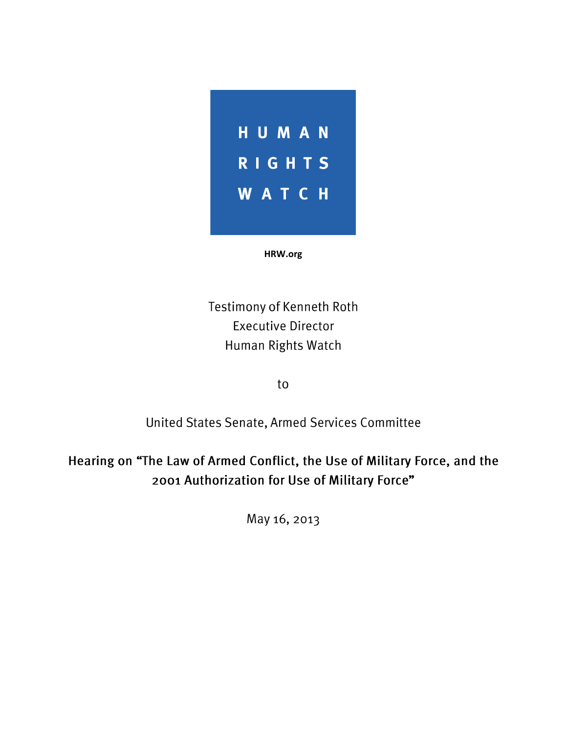

**HRW.org**

Testimony of Kenneth Roth **Executive Director** Human Rights Watch

to

United States Senate, Armed Services Committee

Hearing on "The Law of Armed Conflict, the Use of Military Force, and the 2001 Authorization for Use of Military Force"

May 16, 2013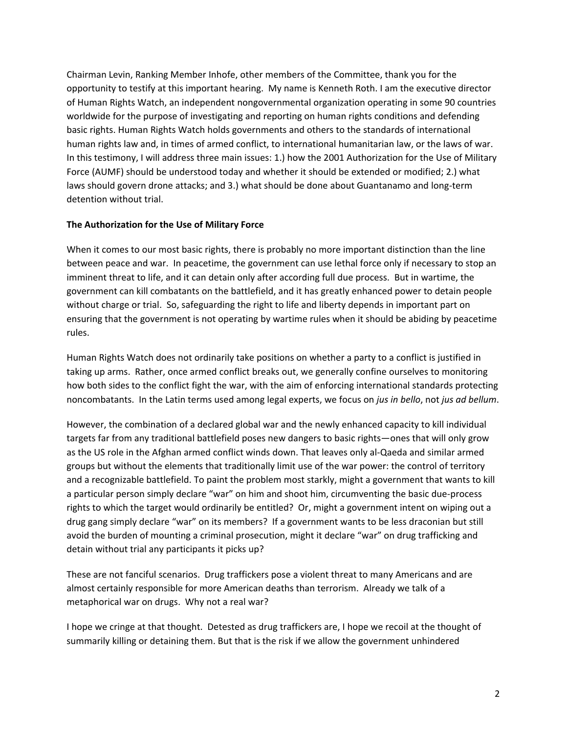Chairman Levin, Ranking Member Inhofe, other members of the Committee, thank you for the opportunity to testify at this important hearing. My name is Kenneth Roth. I am the executive director of Human Rights Watch, an independent nongovernmental organization operating in some 90 countries worldwide for the purpose of investigating and reporting on human rights conditions and defending basic rights. Human Rights Watch holds governments and others to the standards of international human rights law and, in times of armed conflict, to international humanitarian law, or the laws of war. In this testimony, I will address three main issues: 1.) how the 2001 Authorization for the Use of Military Force (AUMF) should be understood today and whether it should be extended or modified; 2.) what laws should govern drone attacks; and 3.) what should be done about Guantanamo and long-term detention without trial.

## **The Authorization for the Use of Military Force**

When it comes to our most basic rights, there is probably no more important distinction than the line between peace and war. In peacetime, the government can use lethal force only if necessary to stop an imminent threat to life, and it can detain only after according full due process. But in wartime, the government can kill combatants on the battlefield, and it has greatly enhanced power to detain people without charge or trial. So, safeguarding the right to life and liberty depends in important part on ensuring that the government is not operating by wartime rules when it should be abiding by peacetime rules.

Human Rights Watch does not ordinarily take positions on whether a party to a conflict is justified in taking up arms. Rather, once armed conflict breaks out, we generally confine ourselves to monitoring how both sides to the conflict fight the war, with the aim of enforcing international standards protecting noncombatants. In the Latin terms used among legal experts, we focus on *jus in bello*, not *jus ad bellum*.

However, the combination of a declared global war and the newly enhanced capacity to kill individual targets far from any traditional battlefield poses new dangers to basic rights—ones that will only grow as the US role in the Afghan armed conflict winds down. That leaves only al-Qaeda and similar armed groups but without the elements that traditionally limit use of the war power: the control of territory and a recognizable battlefield. To paint the problem most starkly, might a government that wants to kill a particular person simply declare "war" on him and shoot him, circumventing the basic due-process rights to which the target would ordinarily be entitled? Or, might a government intent on wiping out a drug gang simply declare "war" on its members? If a government wants to be less draconian but still avoid the burden of mounting a criminal prosecution, might it declare "war" on drug trafficking and detain without trial any participants it picks up?

These are not fanciful scenarios. Drug traffickers pose a violent threat to many Americans and are almost certainly responsible for more American deaths than terrorism. Already we talk of a metaphorical war on drugs. Why not a real war?

I hope we cringe at that thought. Detested as drug traffickers are, I hope we recoil at the thought of summarily killing or detaining them. But that is the risk if we allow the government unhindered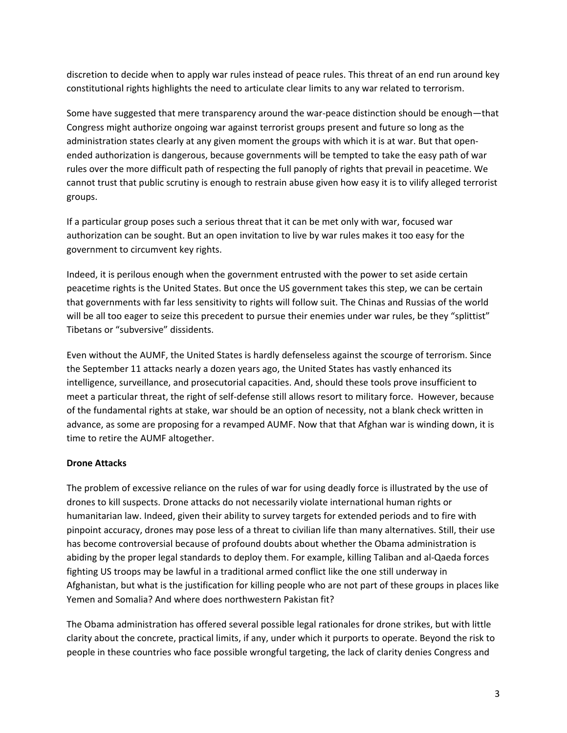discretion to decide when to apply war rules instead of peace rules. This threat of an end run around key constitutional rights highlights the need to articulate clear limits to any war related to terrorism.

Some have suggested that mere transparency around the war-peace distinction should be enough—that Congress might authorize ongoing war against terrorist groups present and future so long as the administration states clearly at any given moment the groups with which it is at war. But that openended authorization is dangerous, because governments will be tempted to take the easy path of war rules over the more difficult path of respecting the full panoply of rights that prevail in peacetime. We cannot trust that public scrutiny is enough to restrain abuse given how easy it is to vilify alleged terrorist groups.

If a particular group poses such a serious threat that it can be met only with war, focused war authorization can be sought. But an open invitation to live by war rules makes it too easy for the government to circumvent key rights.

Indeed, it is perilous enough when the government entrusted with the power to set aside certain peacetime rights is the United States. But once the US government takes this step, we can be certain that governments with far less sensitivity to rights will follow suit. The Chinas and Russias of the world will be all too eager to seize this precedent to pursue their enemies under war rules, be they "splittist" Tibetans or "subversive" dissidents.

Even without the AUMF, the United States is hardly defenseless against the scourge of terrorism. Since the September 11 attacks nearly a dozen years ago, the United States has vastly enhanced its intelligence, surveillance, and prosecutorial capacities. And, should these tools prove insufficient to meet a particular threat, the right of self-defense still allows resort to military force. However, because of the fundamental rights at stake, war should be an option of necessity, not a blank check written in advance, as some are proposing for a revamped AUMF. Now that that Afghan war is winding down, it is time to retire the AUMF altogether.

## **Drone Attacks**

The problem of excessive reliance on the rules of war for using deadly force is illustrated by the use of drones to kill suspects. Drone attacks do not necessarily violate international human rights or humanitarian law. Indeed, given their ability to survey targets for extended periods and to fire with pinpoint accuracy, drones may pose less of a threat to civilian life than many alternatives. Still, their use has become controversial because of profound doubts about whether the Obama administration is abiding by the proper legal standards to deploy them. For example, killing Taliban and al-Qaeda forces fighting US troops may be lawful in a traditional armed conflict like the one still underway in Afghanistan, but what is the justification for killing people who are not part of these groups in places like Yemen and Somalia? And where does northwestern Pakistan fit?

The Obama administration has offered several possible legal rationales for drone strikes, but with little clarity about the concrete, practical limits, if any, under which it purports to operate. Beyond the risk to people in these countries who face possible wrongful targeting, the lack of clarity denies Congress and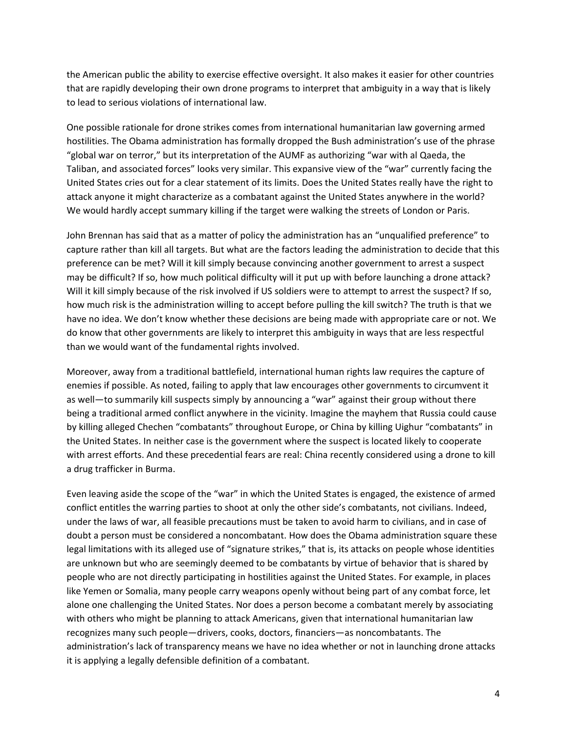the American public the ability to exercise effective oversight. It also makes it easier for other countries that are rapidly developing their own drone programs to interpret that ambiguity in a way that is likely to lead to serious violations of international law.

One possible rationale for drone strikes comes from international humanitarian law governing armed hostilities. The Obama administration has formally dropped the Bush administration's use of the phrase "global war on terror," but its interpretation of the AUMF as authorizing "war with al Qaeda, the Taliban, and associated forces" looks very similar. This expansive view of the "war" currently facing the United States cries out for a clear statement of its limits. Does the United States really have the right to attack anyone it might characterize as a combatant against the United States anywhere in the world? We would hardly accept summary killing if the target were walking the streets of London or Paris.

John Brennan has said that as a matter of policy the administration has an "unqualified preference" to capture rather than kill all targets. But what are the factors leading the administration to decide that this preference can be met? Will it kill simply because convincing another government to arrest a suspect may be difficult? If so, how much political difficulty will it put up with before launching a drone attack? Will it kill simply because of the risk involved if US soldiers were to attempt to arrest the suspect? If so, how much risk is the administration willing to accept before pulling the kill switch? The truth is that we have no idea. We don't know whether these decisions are being made with appropriate care or not. We do know that other governments are likely to interpret this ambiguity in ways that are less respectful than we would want of the fundamental rights involved.

Moreover, away from a traditional battlefield, international human rights law requires the capture of enemies if possible. As noted, failing to apply that law encourages other governments to circumvent it as well—to summarily kill suspects simply by announcing a "war" against their group without there being a traditional armed conflict anywhere in the vicinity. Imagine the mayhem that Russia could cause by killing alleged Chechen "combatants" throughout Europe, or China by killing Uighur "combatants" in the United States. In neither case is the government where the suspect is located likely to cooperate with arrest efforts. And these precedential fears are real: China recently considered using a drone to kill a drug trafficker in Burma.

Even leaving aside the scope of the "war" in which the United States is engaged, the existence of armed conflict entitles the warring parties to shoot at only the other side's combatants, not civilians. Indeed, under the laws of war, all feasible precautions must be taken to avoid harm to civilians, and in case of doubt a person must be considered a noncombatant. How does the Obama administration square these legal limitations with its alleged use of "signature strikes," that is, its attacks on people whose identities are unknown but who are seemingly deemed to be combatants by virtue of behavior that is shared by people who are not directly participating in hostilities against the United States. For example, in places like Yemen or Somalia, many people carry weapons openly without being part of any combat force, let alone one challenging the United States. Nor does a person become a combatant merely by associating with others who might be planning to attack Americans, given that international humanitarian law recognizes many such people—drivers, cooks, doctors, financiers—as noncombatants. The administration's lack of transparency means we have no idea whether or not in launching drone attacks it is applying a legally defensible definition of a combatant.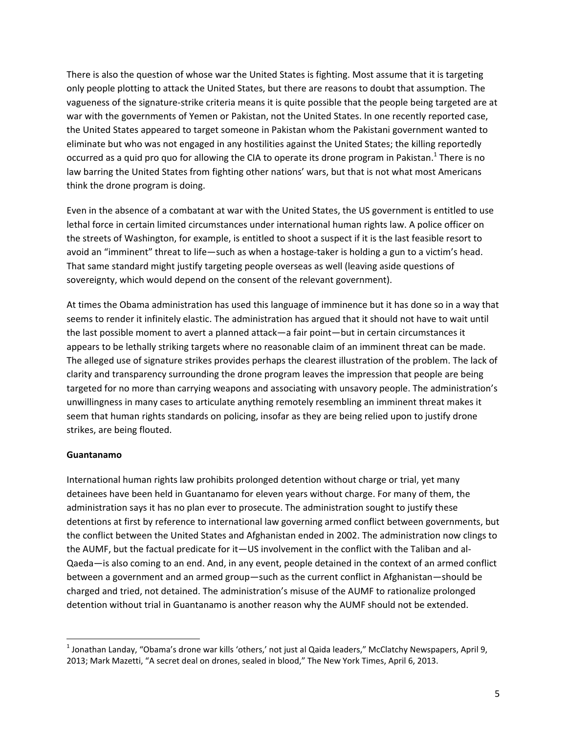There is also the question of whose war the United States is fighting. Most assume that it is targeting only people plotting to attack the United States, but there are reasons to doubt that assumption. The vagueness of the signature-strike criteria means it is quite possible that the people being targeted are at war with the governments of Yemen or Pakistan, not the United States. In one recently reported case, the United States appeared to target someone in Pakistan whom the Pakistani government wanted to eliminate but who was not engaged in any hostilities against the United States; the killing reportedly occurred as a quid pro quo for allowing the CIA to operate its drone program in Pakistan.<sup>1</sup> There is no law barring the United States from fighting other nations' wars, but that is not what most Americans think the drone program is doing.

Even in the absence of a combatant at war with the United States, the US government is entitled to use lethal force in certain limited circumstances under international human rights law. A police officer on the streets of Washington, for example, is entitled to shoot a suspect if it is the last feasible resort to avoid an "imminent" threat to life—such as when a hostage-taker is holding a gun to a victim's head. That same standard might justify targeting people overseas as well (leaving aside questions of sovereignty, which would depend on the consent of the relevant government).

At times the Obama administration has used this language of imminence but it has done so in a way that seems to render it infinitely elastic. The administration has argued that it should not have to wait until the last possible moment to avert a planned attack—a fair point—but in certain circumstances it appears to be lethally striking targets where no reasonable claim of an imminent threat can be made. The alleged use of signature strikes provides perhaps the clearest illustration of the problem. The lack of clarity and transparency surrounding the drone program leaves the impression that people are being targeted for no more than carrying weapons and associating with unsavory people. The administration's unwillingness in many cases to articulate anything remotely resembling an imminent threat makes it seem that human rights standards on policing, insofar as they are being relied upon to justify drone strikes, are being flouted.

## **Guantanamo**

 $\overline{\phantom{a}}$ 

International human rights law prohibits prolonged detention without charge or trial, yet many detainees have been held in Guantanamo for eleven years without charge. For many of them, the administration says it has no plan ever to prosecute. The administration sought to justify these detentions at first by reference to international law governing armed conflict between governments, but the conflict between the United States and Afghanistan ended in 2002. The administration now clings to the AUMF, but the factual predicate for it—US involvement in the conflict with the Taliban and al-Qaeda—is also coming to an end. And, in any event, people detained in the context of an armed conflict between a government and an armed group—such as the current conflict in Afghanistan—should be charged and tried, not detained. The administration's misuse of the AUMF to rationalize prolonged detention without trial in Guantanamo is another reason why the AUMF should not be extended.

<sup>&</sup>lt;sup>1</sup> Jonathan Landay, "Obama's drone war kills 'others,' not just al Qaida leaders," McClatchy Newspapers, April 9, 2013; Mark Mazetti, "A secret deal on drones, sealed in blood," The New York Times, April 6, 2013.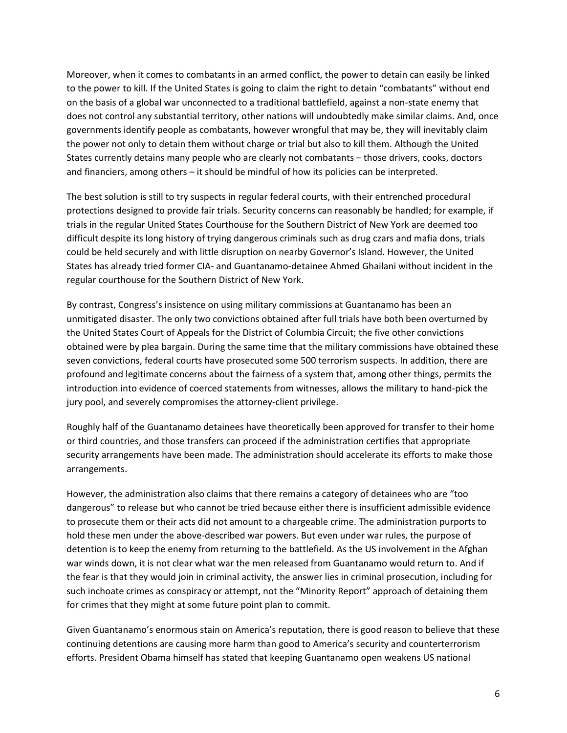Moreover, when it comes to combatants in an armed conflict, the power to detain can easily be linked to the power to kill. If the United States is going to claim the right to detain "combatants" without end on the basis of a global war unconnected to a traditional battlefield, against a non-state enemy that does not control any substantial territory, other nations will undoubtedly make similar claims. And, once governments identify people as combatants, however wrongful that may be, they will inevitably claim the power not only to detain them without charge or trial but also to kill them. Although the United States currently detains many people who are clearly not combatants – those drivers, cooks, doctors and financiers, among others – it should be mindful of how its policies can be interpreted.

The best solution is still to try suspects in regular federal courts, with their entrenched procedural protections designed to provide fair trials. Security concerns can reasonably be handled; for example, if trials in the regular United States Courthouse for the Southern District of New York are deemed too difficult despite its long history of trying dangerous criminals such as drug czars and mafia dons, trials could be held securely and with little disruption on nearby Governor's Island. However, the United States has already tried former CIA- and Guantanamo-detainee Ahmed Ghailani without incident in the regular courthouse for the Southern District of New York.

By contrast, Congress's insistence on using military commissions at Guantanamo has been an unmitigated disaster. The only two convictions obtained after full trials have both been overturned by the United States Court of Appeals for the District of Columbia Circuit; the five other convictions obtained were by plea bargain. During the same time that the military commissions have obtained these seven convictions, federal courts have prosecuted some 500 terrorism suspects. In addition, there are profound and legitimate concerns about the fairness of a system that, among other things, permits the introduction into evidence of coerced statements from witnesses, allows the military to hand-pick the jury pool, and severely compromises the attorney-client privilege.

Roughly half of the Guantanamo detainees have theoretically been approved for transfer to their home or third countries, and those transfers can proceed if the administration certifies that appropriate security arrangements have been made. The administration should accelerate its efforts to make those arrangements.

However, the administration also claims that there remains a category of detainees who are "too dangerous" to release but who cannot be tried because either there is insufficient admissible evidence to prosecute them or their acts did not amount to a chargeable crime. The administration purports to hold these men under the above-described war powers. But even under war rules, the purpose of detention is to keep the enemy from returning to the battlefield. As the US involvement in the Afghan war winds down, it is not clear what war the men released from Guantanamo would return to. And if the fear is that they would join in criminal activity, the answer lies in criminal prosecution, including for such inchoate crimes as conspiracy or attempt, not the "Minority Report" approach of detaining them for crimes that they might at some future point plan to commit.

Given Guantanamo's enormous stain on America's reputation, there is good reason to believe that these continuing detentions are causing more harm than good to America's security and counterterrorism efforts. President Obama himself has stated that keeping Guantanamo open weakens US national